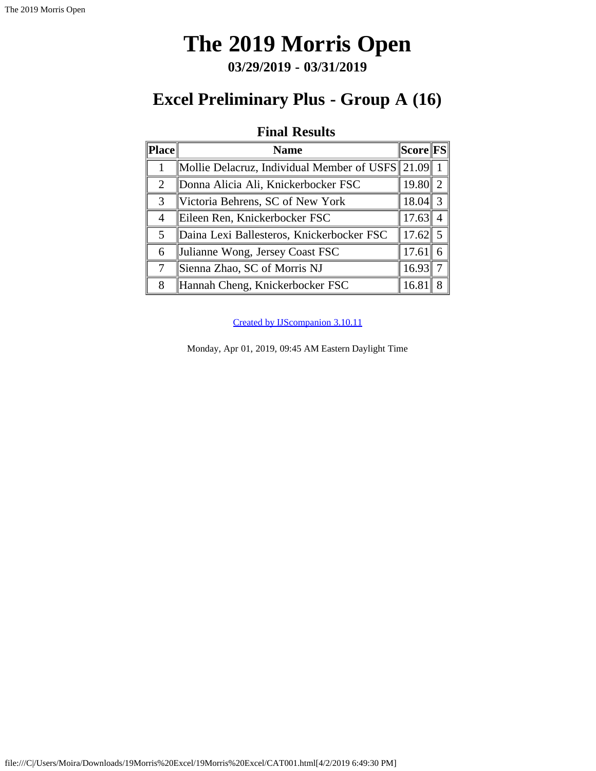**03/29/2019 - 03/31/2019**

# <span id="page-0-0"></span>**Excel Preliminary Plus - Group A (16)**

## **Final Results**

| <b>Place</b>             | <b>Name</b>                                      | Score  FS |   |
|--------------------------|--------------------------------------------------|-----------|---|
|                          | Mollie Delacruz, Individual Member of USFS 21.09 |           |   |
| 2                        | Donna Alicia Ali, Knickerbocker FSC              | 19.80     | 2 |
| 3                        | Victoria Behrens, SC of New York                 | 18.04     | 3 |
| 4                        | Eileen Ren, Knickerbocker FSC                    | 17.63     |   |
| $\overline{\phantom{0}}$ | Daina Lexi Ballesteros, Knickerbocker FSC        |           |   |
| 6                        | Julianne Wong, Jersey Coast FSC                  | 17.61     |   |
| $\tau$                   | Sienna Zhao, SC of Morris NJ                     | 16.93     |   |
| 8                        | Hannah Cheng, Knickerbocker FSC                  | 16.8      |   |

[Created by IJScompanion 3.10.11](http://www.usfigureskating.org/)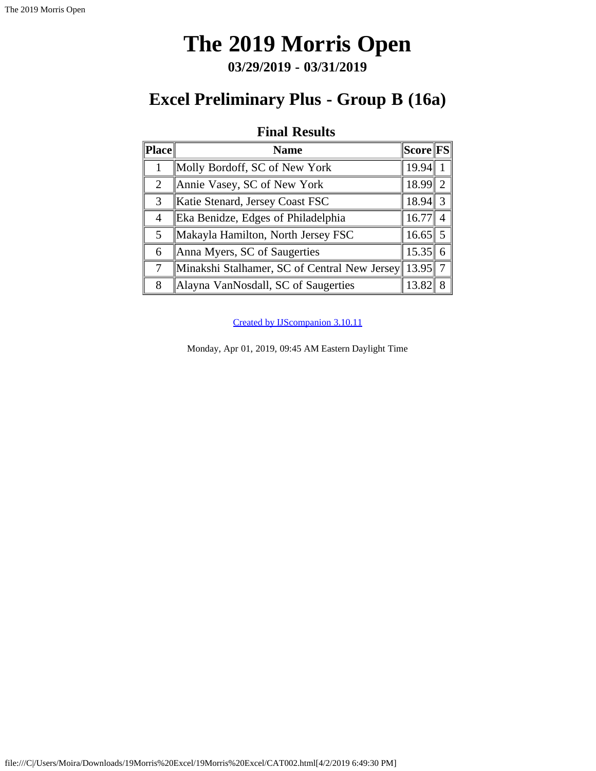**03/29/2019 - 03/31/2019**

# <span id="page-1-0"></span>**Excel Preliminary Plus - Group B (16a)**

### **Final Results**

| Place          | <b>Name</b>                                          | Score  FS   |               |
|----------------|------------------------------------------------------|-------------|---------------|
|                | Molly Bordoff, SC of New York                        | 19.94       |               |
| $\overline{2}$ | Annie Vasey, SC of New York                          | 18.99       | $\mathcal{D}$ |
| 3              | Katie Stenard, Jersey Coast FSC                      | $18.94$ 3   |               |
| $\overline{4}$ | Eka Benidze, Edges of Philadelphia                   | 16.77       |               |
| 5              | Makayla Hamilton, North Jersey FSC                   | $16.65$   5 |               |
| 6              | Anna Myers, SC of Saugerties                         | 15.35       | 6             |
| 7              | Minakshi Stalhamer, SC of Central New Jersey 13.95 7 |             |               |
| 8              | Alayna VanNosdall, SC of Saugerties                  | 13.82       |               |

[Created by IJScompanion 3.10.11](http://www.usfigureskating.org/)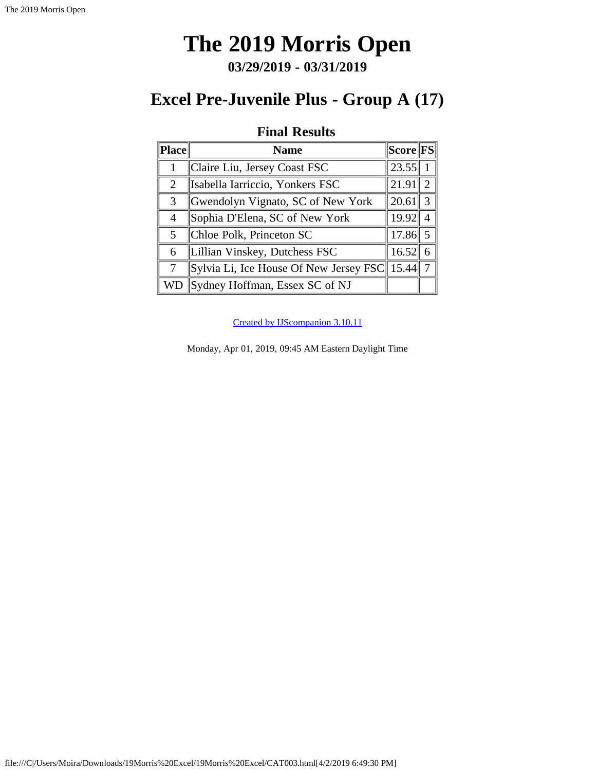**03/29/2019 - 03/31/2019**

# <span id="page-2-0"></span>**Excel Pre-Juvenile Plus - Group A (17)**

## **Final Results**

| $ {\bf Place} $          | <b>Name</b>                                  | $ \text{Score}  \text{FS} $ |               |  |
|--------------------------|----------------------------------------------|-----------------------------|---------------|--|
|                          | Claire Liu, Jersey Coast FSC                 | 23.55                       |               |  |
| $\overline{2}$           | Isabella Iarriccio, Yonkers FSC              | 21.91                       | っ             |  |
| 3                        | Gwendolyn Vignato, SC of New York            | 20.61                       | $\mathcal{R}$ |  |
| 4                        | Sophia D'Elena, SC of New York               | 19.92                       |               |  |
| $\overline{\phantom{0}}$ | 17.86<br>Chloe Polk, Princeton SC            |                             |               |  |
| 6                        | Lillian Vinskey, Dutchess FSC                | 16.52                       |               |  |
| $\tau$                   | Sylvia Li, Ice House Of New Jersey FSC 15.44 |                             |               |  |
|                          | Sydney Hoffman, Essex SC of NJ               |                             |               |  |

[Created by IJScompanion 3.10.11](http://www.usfigureskating.org/)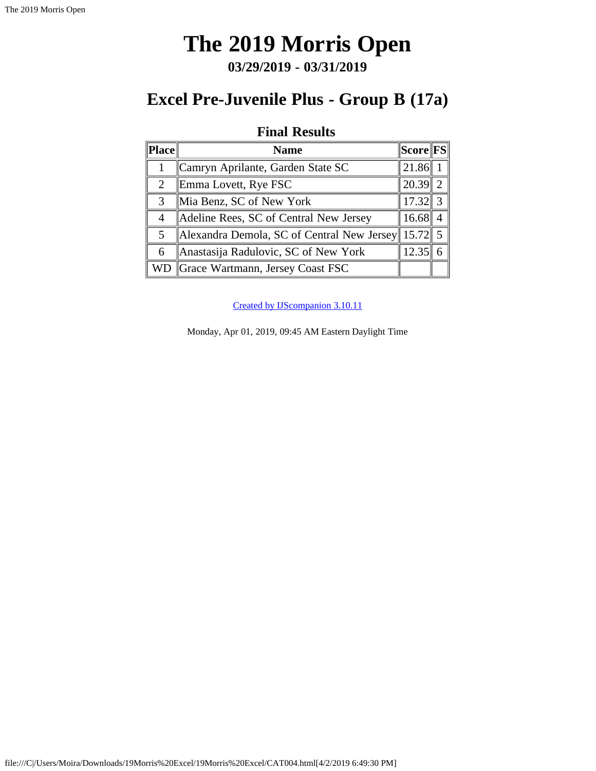**03/29/2019 - 03/31/2019**

## <span id="page-3-0"></span>**Excel Pre-Juvenile Plus - Group B (17a)**

## **Final Results**

| Place          | <b>Name</b>                                      | Score  FS |               |
|----------------|--------------------------------------------------|-----------|---------------|
|                | Camryn Aprilante, Garden State SC                | 21.86     |               |
| $\overline{2}$ | Emma Lovett, Rye FSC                             | 20.39     | $\mathcal{D}$ |
| $\mathcal{R}$  | Mia Benz, SC of New York                         | 17.32     | l 3           |
| 4              | Adeline Rees, SC of Central New Jersey           | 16.68     |               |
| 5              | Alexandra Demola, SC of Central New Jersey 15.72 |           | 5             |
| 6              | Anastasija Radulovic, SC of New York             | 12.35     |               |
|                | WD   Grace Wartmann, Jersey Coast FSC            |           |               |

[Created by IJScompanion 3.10.11](http://www.usfigureskating.org/)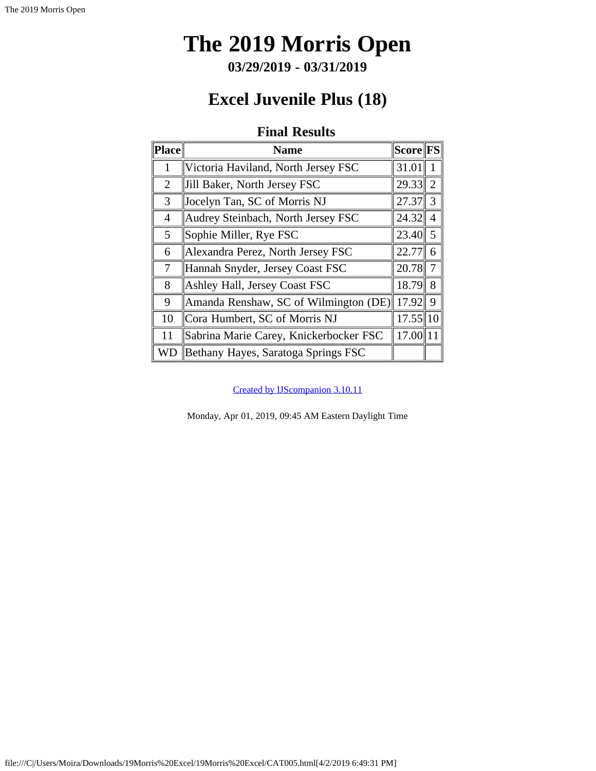**03/29/2019 - 03/31/2019**

## **Excel Juvenile Plus (18)**

## **Final Results**

<span id="page-4-0"></span>

| <b>Place</b>   | <b>Name</b>                            | Score  FS    |                |
|----------------|----------------------------------------|--------------|----------------|
| 1              | Victoria Haviland, North Jersey FSC    | 31.01        |                |
| $\overline{2}$ | Jill Baker, North Jersey FSC           | 29.33        | $\overline{2}$ |
| 3              | Jocelyn Tan, SC of Morris NJ           | 27.37        | 3              |
| $\overline{4}$ | Audrey Steinbach, North Jersey FSC     | 24.32        | $\overline{4}$ |
| 5              | Sophie Miller, Rye FSC                 | 23.40        | 5              |
| 6              | Alexandra Perez, North Jersey FSC      | 22.77        | 6              |
| 7              | Hannah Snyder, Jersey Coast FSC        | 20.78        | 7              |
| 8              | Ashley Hall, Jersey Coast FSC          | 18.79        | 8              |
| 9              | Amanda Renshaw, SC of Wilmington (DE)  | 17.92        | 9              |
| 10             | Cora Humbert, SC of Morris NJ          | $17.55$   10 |                |
| 11             | Sabrina Marie Carey, Knickerbocker FSC | $17.00$   11 |                |
| WD             | Bethany Hayes, Saratoga Springs FSC    |              |                |

[Created by IJScompanion 3.10.11](http://www.usfigureskating.org/)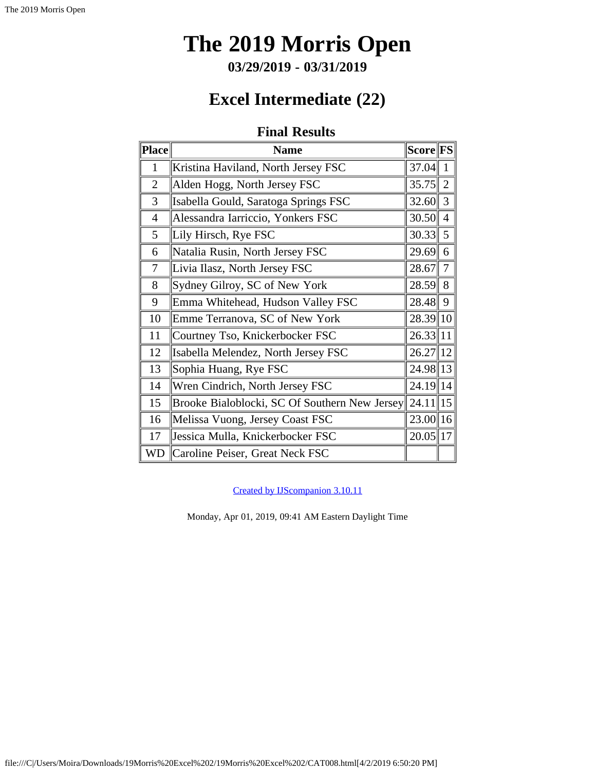**03/29/2019 - 03/31/2019**

# **Excel Intermediate (22)**

## **Final Results**

| <b>Place</b>   | <b>Name</b>                                            | Score  FS    |                 |
|----------------|--------------------------------------------------------|--------------|-----------------|
| $\mathbf{1}$   | Kristina Haviland, North Jersey FSC                    | 37.04        | $\mathbf{1}$    |
| $\overline{2}$ | Alden Hogg, North Jersey FSC                           | 35.75        | $\overline{2}$  |
| $\overline{3}$ | Isabella Gould, Saratoga Springs FSC                   | 32.60        | $\vert 3 \vert$ |
| 4              | Alessandra Iarriccio, Yonkers FSC                      | 30.50        | $\overline{4}$  |
| 5              | Lily Hirsch, Rye FSC                                   | 30.33        | $\overline{5}$  |
| 6              | Natalia Rusin, North Jersey FSC                        | 29.69        | 6               |
| 7              | Livia Ilasz, North Jersey FSC                          | 28.67        | $\overline{7}$  |
| 8              | Sydney Gilroy, SC of New York                          | 28.59        | 8               |
| 9              | Emma Whitehead, Hudson Valley FSC                      | 28.48        | 9               |
| 10             | Emme Terranova, SC of New York                         | $28.39$   10 |                 |
| 11             | Courtney Tso, Knickerbocker FSC                        | $26.33$   11 |                 |
| 12             | Isabella Melendez, North Jersey FSC                    | 26.27 12     |                 |
| 13             | Sophia Huang, Rye FSC                                  | 24.98 13     |                 |
| 14             | Wren Cindrich, North Jersey FSC                        | 24.19 14     |                 |
| 15             | Brooke Bialoblocki, SC Of Southern New Jersey 24.11 15 |              |                 |
| 16             | Melissa Vuong, Jersey Coast FSC                        | $23.00$   16 |                 |
| 17             | Jessica Mulla, Knickerbocker FSC                       | $20.05$   17 |                 |
| WD             | Caroline Peiser, Great Neck FSC                        |              |                 |

[Created by IJScompanion 3.10.11](http://www.usfigureskating.org/)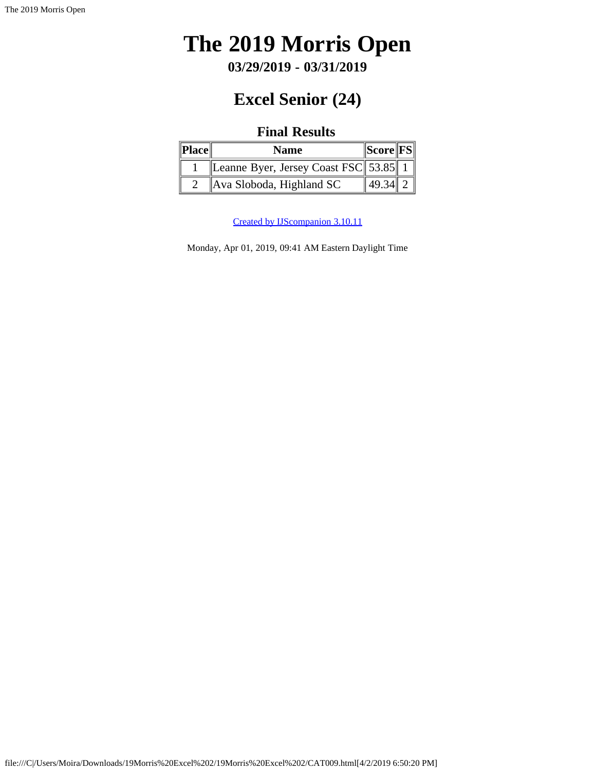# **The 2019 Morris Open**

**03/29/2019 - 03/31/2019**

# **Excel Senior (24)**

## **Final Results**

| Place | <b>Name</b>                           | $\ Score\ FS$ |  |
|-------|---------------------------------------|---------------|--|
|       | Leanne Byer, Jersey Coast FSC 53.85 1 |               |  |
|       | Ava Sloboda, Highland SC              | . 49.         |  |

[Created by IJScompanion 3.10.11](http://www.usfigureskating.org/)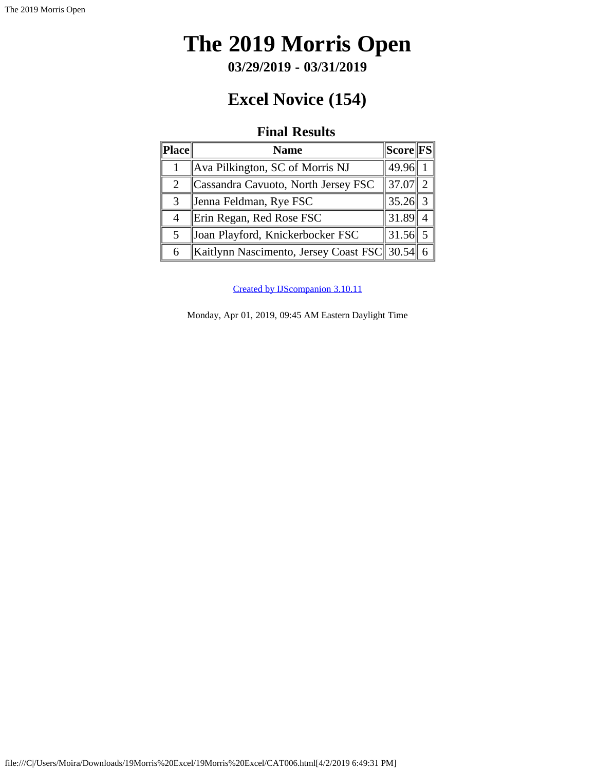**03/29/2019 - 03/31/2019**

# **Excel Novice (154)**

## **Final Results**

<span id="page-7-0"></span>

| Place                       | <b>Name</b>                                 | Score  FS |            |
|-----------------------------|---------------------------------------------|-----------|------------|
|                             | Ava Pilkington, SC of Morris NJ             | 49.96     |            |
| $\mathcal{D}_{\mathcal{L}}$ | Cassandra Cavuoto, North Jersey FSC         | 37.07     | $+2$ :     |
| 3                           | Jenna Feldman, Rye FSC                      | 35.26     | $\sqrt{3}$ |
| 4                           | Erin Regan, Red Rose FSC                    | 31.89     |            |
| 5                           | Joan Playford, Knickerbocker FSC            | 31.56     |            |
| 6                           | Kaitlynn Nascimento, Jersey Coast FSC 30.54 |           |            |

[Created by IJScompanion 3.10.11](http://www.usfigureskating.org/)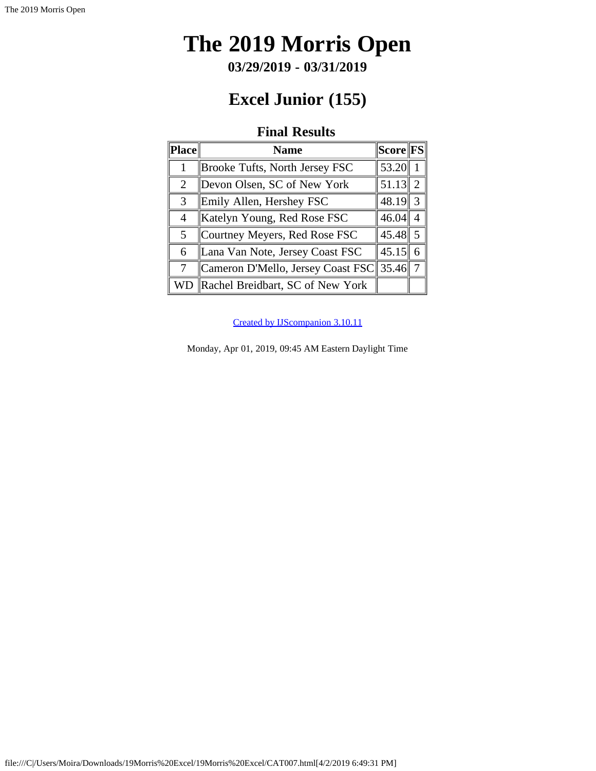**03/29/2019 - 03/31/2019**

# **Excel Junior (155)**

## **Final Results**

<span id="page-8-0"></span>

| <b>Place</b> | <b>Name</b>                               | Score  FS |                |
|--------------|-------------------------------------------|-----------|----------------|
|              | <b>Brooke Tufts, North Jersey FSC</b>     | 53.20     |                |
| 2            | Devon Olsen, SC of New York               | 51.13     | $\overline{2}$ |
| 3            | Emily Allen, Hershey FSC                  | 48.19     | $\mathcal{R}$  |
| 4            | Katelyn Young, Red Rose FSC               | 46.04     |                |
| 5            | Courtney Meyers, Red Rose FSC             | 45.48     | $\overline{5}$ |
| 6            | Lana Van Note, Jersey Coast FSC           | 45.15     |                |
|              | Cameron D'Mello, Jersey Coast FSC   35.46 |           |                |
|              | Rachel Breidbart, SC of New York          |           |                |

[Created by IJScompanion 3.10.11](http://www.usfigureskating.org/)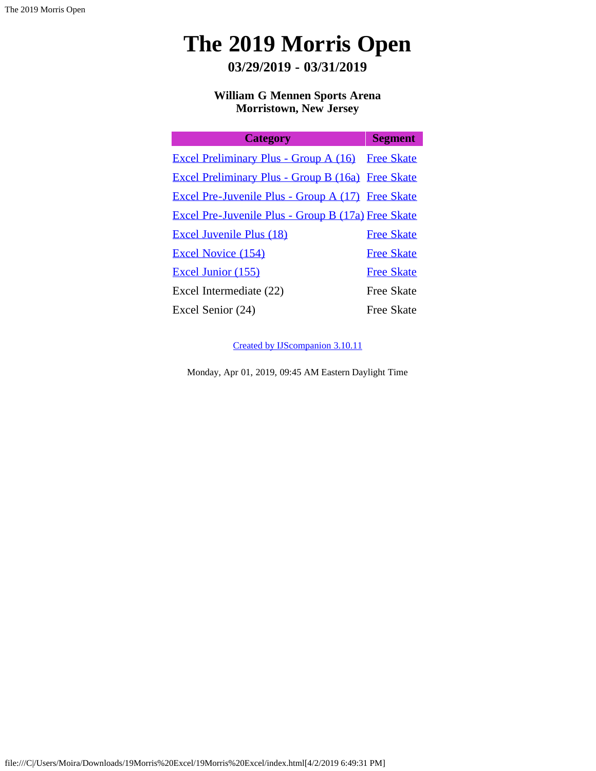**03/29/2019 - 03/31/2019**

#### **William G Mennen Sports Arena Morristown, New Jersey**

| <b>Category</b>                                           | <b>Segment</b>    |
|-----------------------------------------------------------|-------------------|
| <b>Excel Preliminary Plus - Group A (16) Free Skate</b>   |                   |
| <b>Excel Preliminary Plus - Group B (16a) Free Skate</b>  |                   |
| Excel Pre-Juvenile Plus - Group A (17) Free Skate         |                   |
| <b>Excel Pre-Juvenile Plus - Group B (17a) Free Skate</b> |                   |
| <b>Excel Juvenile Plus (18)</b>                           | <b>Free Skate</b> |
| <b>Excel Novice (154)</b>                                 | <b>Free Skate</b> |
| Excel Junior (155)                                        | <b>Free Skate</b> |
| Excel Intermediate (22)                                   | <b>Free Skate</b> |
| Excel Senior (24)                                         | Free Skate        |

[Created by IJScompanion 3.10.11](http://www.usfigureskating.org/)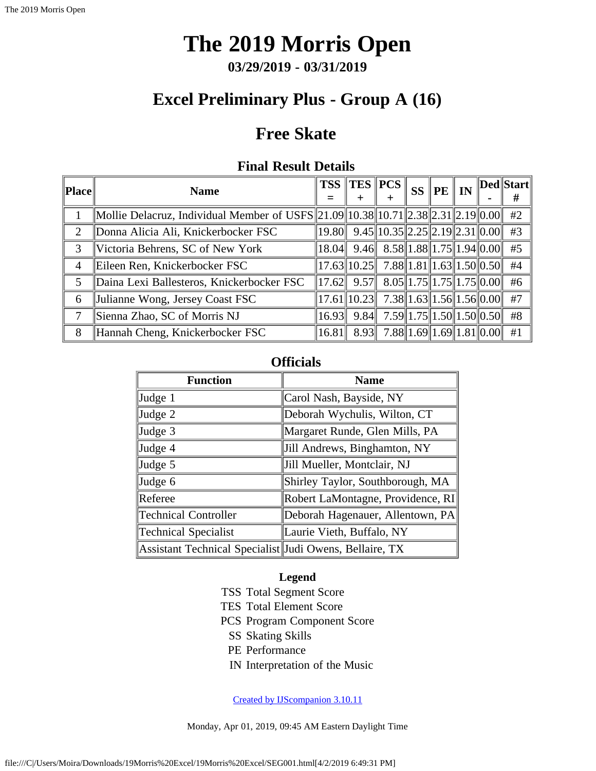**03/29/2019 - 03/31/2019**

## <span id="page-10-0"></span>**Excel Preliminary Plus - Group A (16)**

## **Free Skate**

| Place                       | <b>Name</b>                                                                         |                                                         | <b>TSS TES PCS</b> | ┿                                                       | <b>SS</b> | <b>PE</b> | $\overline{\mathbf{N}}$ | Ded  Start  <br># |
|-----------------------------|-------------------------------------------------------------------------------------|---------------------------------------------------------|--------------------|---------------------------------------------------------|-----------|-----------|-------------------------|-------------------|
|                             | Mollie Delacruz, Individual Member of USFS 21.09 10.38 10.71 2.38 2.31 2.19 0.00 #2 |                                                         |                    |                                                         |           |           |                         |                   |
| $\mathcal{D}_{\mathcal{L}}$ | Donna Alicia Ali, Knickerbocker FSC                                                 | $\ 19.80\ $ 9.45 $\ 10.35\ 2.25\ 2.19\ 2.31\ 0.00\ $ #3 |                    |                                                         |           |           |                         |                   |
| 3                           | Victoria Behrens, SC of New York                                                    | 18.04                                                   |                    | $9.46$ 8.58 1.88 1.75 1.94 0.00 #5                      |           |           |                         |                   |
| $\overline{4}$              | Eileen Ren, Knickerbocker FSC                                                       |                                                         |                    | $\ 17.63\ 10.25\ $ 7.88 $\ 1.81\ 1.63\ 1.50\ 0.50\ $ #4 |           |           |                         |                   |
| 5                           | Daina Lexi Ballesteros, Knickerbocker FSC                                           | 17.62                                                   |                    | 9.57 8.05 1.75 1.75 1.75 0.00                           |           |           |                         | #6                |
| 6                           | Julianne Wong, Jersey Coast FSC                                                     |                                                         | $17.61$   10.23    | $7.38$   1.63  1.56  1.56  0.00                         |           |           |                         | #7                |
| 7                           | Sienna Zhao, SC of Morris NJ                                                        | 16.93                                                   | 9.84               | $7.59$   1.75  1.50  1.50  0.50   #8                    |           |           |                         |                   |
| 8                           | Hannah Cheng, Knickerbocker FSC                                                     | 16.81                                                   | 8.93               | $7.88$   1.69  1.69  1.81  0.00                         |           |           |                         | #1                |

### **Final Result Details**

### **Officials**

| <b>Function</b>                                         | <b>Name</b>                       |
|---------------------------------------------------------|-----------------------------------|
| Judge 1                                                 | Carol Nash, Bayside, NY           |
| Judge 2                                                 | Deborah Wychulis, Wilton, CT      |
| Judge 3                                                 | Margaret Runde, Glen Mills, PA    |
| Judge 4                                                 | Jill Andrews, Binghamton, NY      |
| Judge 5                                                 | Jill Mueller, Montclair, NJ       |
| Judge 6                                                 | Shirley Taylor, Southborough, MA  |
| Referee                                                 | Robert LaMontagne, Providence, RI |
| <b>Technical Controller</b>                             | Deborah Hagenauer, Allentown, PA  |
| Technical Specialist                                    | Laurie Vieth, Buffalo, NY         |
| Assistant Technical Specialist Judi Owens, Bellaire, TX |                                   |

#### **Legend**

- TSS Total Segment Score
- TES Total Element Score
- PCS Program Component Score
	- SS Skating Skills
	- PE Performance
	- IN Interpretation of the Music

[Created by IJScompanion 3.10.11](http://www.usfigureskating.org/)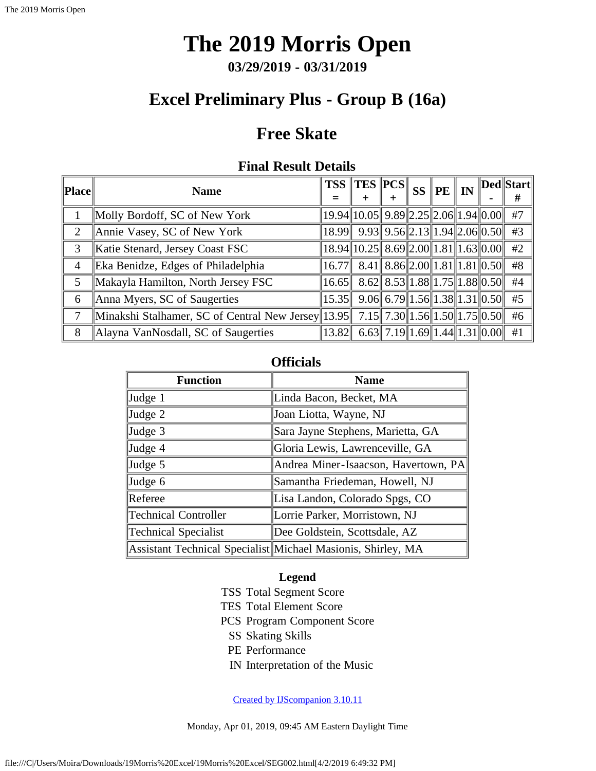**03/29/2019 - 03/31/2019**

## <span id="page-12-0"></span>**Excel Preliminary Plus - Group B (16a)**

## **Free Skate**

| Place          | <b>Name</b>                                        |                                                  | <b>TSS TES PCS</b>                        |                                                          | <b>SS</b> | $\ $ PE $\ $ IN |  | Ded  Start |
|----------------|----------------------------------------------------|--------------------------------------------------|-------------------------------------------|----------------------------------------------------------|-----------|-----------------|--|------------|
|                |                                                    |                                                  | +                                         | ┿                                                        |           |                 |  | #          |
|                | Molly Bordoff, SC of New York                      | $\ 19.94\ 10.05\ 9.89\ 2.25\ 2.06\ 1.94\ 0.00\ $ |                                           |                                                          |           |                 |  | #7         |
| $\overline{2}$ | Annie Vasey, SC of New York                        | 18.99                                            |                                           | $9.93$ 9.56 2.13 1.94 2.06 0.50                          |           |                 |  | #3         |
| 3              | Katie Stenard, Jersey Coast FSC                    | $\ 18.94\ 10.25\ 8.69\ 2.00\ 1.81\ 1.63\ 0.00\ $ |                                           |                                                          |           |                 |  | #2         |
| 4              | Eka Benidze, Edges of Philadelphia                 | 16.77                                            | $8.41$ $8.86$ $2.00$ $1.81$ $1.81$ $0.50$ |                                                          |           |                 |  | #8         |
| 5              | Makayla Hamilton, North Jersey FSC                 | 16.65                                            |                                           | 8.62 8.53 1.88 1.75 1.88 0.50                            |           |                 |  | #4         |
| 6              | Anna Myers, SC of Saugerties                       | 15.35                                            |                                           | $9.06 \  6.79 \  1.56 \  1.38 \  1.31 \  0.50 \ $        |           |                 |  | #5         |
| 7              | Minakshi Stalhamer, SC of Central New Jersey 13.95 |                                                  |                                           | $7.15$    $7.30$    $1.56$    $1.50$    $1.75$    $0.50$ |           |                 |  | #6         |
| 8              | Alayna VanNosdall, SC of Saugerties                | 13.82                                            |                                           | $6.63$    $7.19$    $1.69$    $1.44$    $1.31$    $0.00$ |           |                 |  | #1         |

#### **Final Result Details**

### **Officials**

| <b>Function</b>      | <b>Name</b>                                                  |
|----------------------|--------------------------------------------------------------|
| Judge 1              | Linda Bacon, Becket, MA                                      |
| $\vert$ Judge 2      | Joan Liotta, Wayne, NJ                                       |
| $\vert$ Judge 3      | Sara Jayne Stephens, Marietta, GA                            |
| Judge 4              | Gloria Lewis, Lawrenceville, GA                              |
| $\vert$ Judge 5      | Andrea Miner-Isaacson, Havertown, PA                         |
| $\vert$ Judge 6      | Samantha Friedeman, Howell, NJ                               |
| Referee              | Lisa Landon, Colorado Spgs, CO                               |
| Technical Controller | Lorrie Parker, Morristown, NJ                                |
| Technical Specialist | Dee Goldstein, Scottsdale, AZ                                |
|                      | Assistant Technical Specialist Michael Masionis, Shirley, MA |

#### **Legend**

- TSS Total Segment Score
- TES Total Element Score
- PCS Program Component Score
	- SS Skating Skills
	- PE Performance
	- IN Interpretation of the Music

[Created by IJScompanion 3.10.11](http://www.usfigureskating.org/)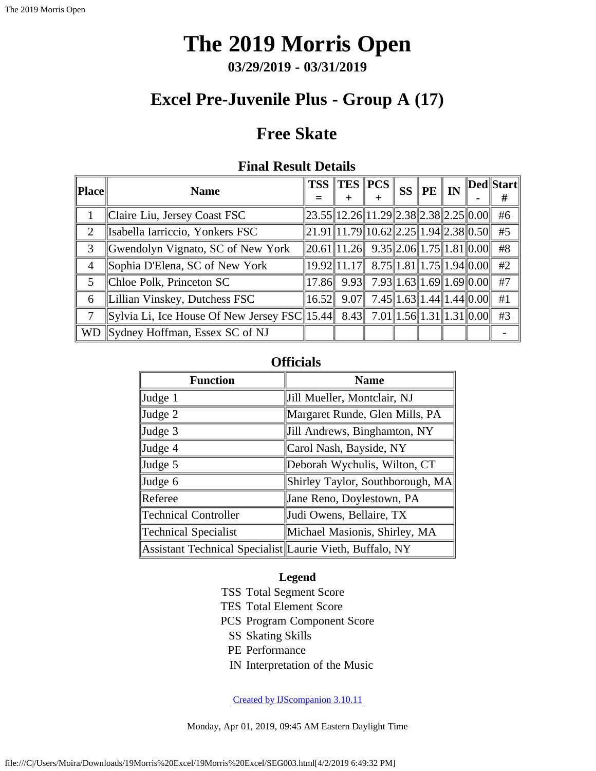**03/29/2019 - 03/31/2019**

## <span id="page-14-0"></span>**Excel Pre-Juvenile Plus - Group A (17)**

## **Free Skate**

| Place          | <b>Name</b>                                                                        |       | $TSS$   TES   PCS                                    |                                 | $SS$   PE   IN |  | Ded  Start <br># |
|----------------|------------------------------------------------------------------------------------|-------|------------------------------------------------------|---------------------------------|----------------|--|------------------|
|                | Claire Liu, Jersey Coast FSC                                                       |       | $\ 23.55\ 12.26\ 11.29\ 2.38\ 2.38\ 2.25\ 0.00\ $    |                                 |                |  | #6               |
| 2              | Isabella Iarriccio, Yonkers FSC                                                    |       | $\ 21.91\ 11.79\ 10.62\ 2.25\ 1.94\ 2.38\ 0.50\ $    |                                 |                |  | #5               |
| 3              | Gwendolyn Vignato, SC of New York                                                  |       | $\ 20.61\ 11.26\ $ 9.35 $\ 2.06\ 1.75\ 1.81\ 0.00\ $ |                                 |                |  | #8               |
| $\overline{4}$ | Sophia D'Elena, SC of New York                                                     |       | $\ 19.92\ 11.17\ $ 8.75 $\ 1.81\ 1.75\ 1.94\ 0.00\ $ |                                 |                |  | #2               |
| 5              | Chloe Polk, Princeton SC                                                           | 17.86 | 9.93                                                 | $7.93$   1.63  1.69  1.69  0.00 |                |  | #7               |
| 6              | Lillian Vinskey, Dutchess FSC                                                      | 16.52 | 9.07                                                 | $7.45$   1.63  1.44  1.44  0.00 |                |  | #1               |
|                | Sylvia Li, Ice House Of New Jersey FSC 15.44   8.43   7.01 1.56 1.31 1.31 $ 0.00 $ |       |                                                      |                                 |                |  | #3               |
| <b>WD</b>      | Sydney Hoffman, Essex SC of NJ                                                     |       |                                                      |                                 |                |  |                  |

#### **Final Result Details**

### **Officials**

| <b>Function</b>                                          | <b>Name</b>                      |
|----------------------------------------------------------|----------------------------------|
| Judge 1                                                  | Jill Mueller, Montclair, NJ      |
| Judge 2                                                  | Margaret Runde, Glen Mills, PA   |
| Judge 3                                                  | Jill Andrews, Binghamton, NY     |
| Judge 4                                                  | Carol Nash, Bayside, NY          |
| Judge 5                                                  | Deborah Wychulis, Wilton, CT     |
| Judge 6                                                  | Shirley Taylor, Southborough, MA |
| Referee                                                  | Jane Reno, Doylestown, PA        |
| <b>Technical Controller</b>                              | Judi Owens, Bellaire, TX         |
| <b>Technical Specialist</b>                              | Michael Masionis, Shirley, MA    |
| Assistant Technical Specialist Laurie Vieth, Buffalo, NY |                                  |

#### **Legend**

- TSS Total Segment Score
- TES Total Element Score
- PCS Program Component Score
	- SS Skating Skills
	- PE Performance
	- IN Interpretation of the Music

[Created by IJScompanion 3.10.11](http://www.usfigureskating.org/)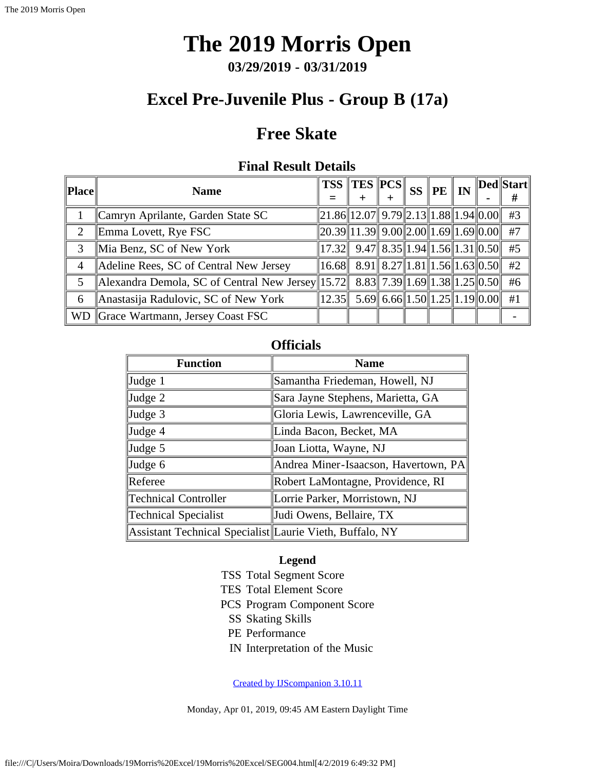**03/29/2019 - 03/31/2019**

## <span id="page-16-0"></span>**Excel Pre-Juvenile Plus - Group B (17a)**

## **Free Skate**

#### **Place Name TSS = TES PCS + +**  $\mathbf{S}\mathbf{S}\parallel\mathbf{P}\mathbf{E}\parallel\mathbf{IN}\parallel\mathbf{D}\mathbf{e}\mathbf{d}\parallel\mathbf{Start}$ **- #** 1 Camryn Aprilante, Garden State SC 21.86 12.07 9.79 2.13 1.88 1.94 0.00 #3 2 Emma Lovett, Rye FSC 20.39 11.39 9.00 2.00 1.69 1.69 0.00 #7 3 || Mia Benz, SC of New York || 17.32 || 9.47 || 8.35 || 1.94 || 1.56 || 1.31 || 0.50 || #5 4 Adeline Rees, SC of Central New Jersey |  $\|16.68\|$  8.91 8.27 | 1.81  $\|1.56\|1.63\|0.50\|$  #2 5 Alexandra Demola, SC of Central New Jersey 15.72 8.83 7.39 1.69 1.38 1.25 0.50 #6 6 Anastasija Radulovic, SC of New York  $\|12.35\|$  5.69 6.66 1.50 1.25 1.19 0.00 #1 WD Grace Wartmann, Jersey Coast FSC  $|| \t || \t || \t || \t || \t || \t ||$

### **Final Result Details**

#### **Officials**

| <b>Function</b>                                          | <b>Name</b>                          |
|----------------------------------------------------------|--------------------------------------|
| $\vert$ Judge 1                                          | Samantha Friedeman, Howell, NJ       |
| $\vert$ Judge 2                                          | Sara Jayne Stephens, Marietta, GA    |
| Judge 3                                                  | Gloria Lewis, Lawrenceville, GA      |
| $\vert$ Judge 4                                          | Linda Bacon, Becket, MA              |
| $\vert$ Judge 5                                          | Joan Liotta, Wayne, NJ               |
| Judge 6                                                  | Andrea Miner-Isaacson, Havertown, PA |
| Referee                                                  | Robert LaMontagne, Providence, RI    |
| <b>Technical Controller</b>                              | Lorrie Parker, Morristown, NJ        |
| <b>Technical Specialist</b>                              | Judi Owens, Bellaire, TX             |
| Assistant Technical Specialist Laurie Vieth, Buffalo, NY |                                      |

#### **Legend**

- TSS Total Segment Score
- TES Total Element Score
- PCS Program Component Score
	- SS Skating Skills
	- PE Performance
	- IN Interpretation of the Music

[Created by IJScompanion 3.10.11](http://www.usfigureskating.org/)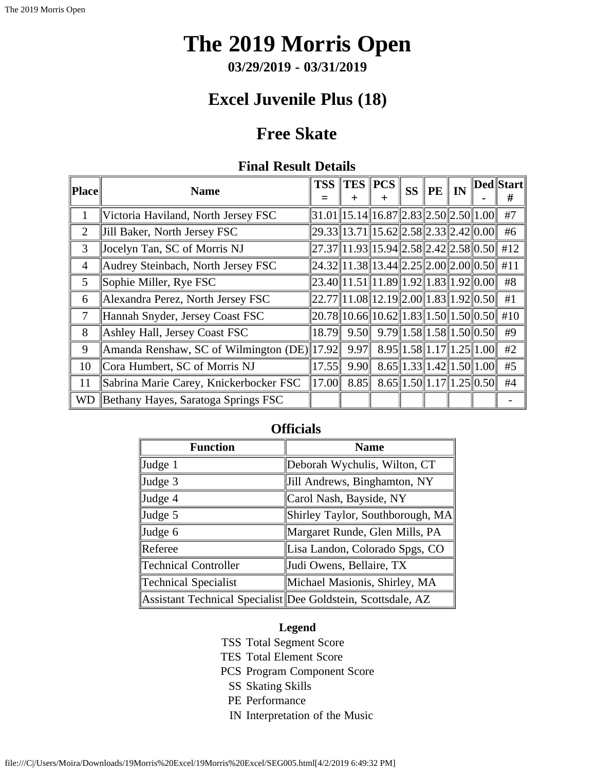**03/29/2019 - 03/31/2019**

# **Excel Juvenile Plus (18)**

# **Free Skate**

## **Final Result Details**

<span id="page-17-0"></span>

| Place          | <b>Name</b>                            | <b>TSS</b> | <b>TES</b>                                        | <b>PCS</b><br>┿                 | <b>SS</b> | <b>PE</b> | $\parallel$ IN                            | Ded  Start  <br># |
|----------------|----------------------------------------|------------|---------------------------------------------------|---------------------------------|-----------|-----------|-------------------------------------------|-------------------|
| J.             | Victoria Haviland, North Jersey FSC    |            | $\ 31.01\ 15.14\ 16.87\ 2.83\ 2.50\ 2.50\ 1.00\ $ |                                 |           |           |                                           | #7                |
| $\overline{2}$ | Jill Baker, North Jersey FSC           |            | $\ 29.33\ 13.71\ 15.62\ 2.58\ 2.33\ 2.42\ 0.00\ $ |                                 |           |           |                                           | #6                |
| 3              | Jocelyn Tan, SC of Morris NJ           |            | $\ 27.37\ 11.93\ 15.94\ 2.58\ 2.42\ 2.58\ 0.50\ $ |                                 |           |           |                                           | #12               |
| $\overline{4}$ | Audrey Steinbach, North Jersey FSC     |            | $\ 24.32\ 11.38\ 13.44\ 2.25\ 2.00\ 2.00\ 0.50\ $ |                                 |           |           |                                           | #11               |
| 5              | Sophie Miller, Rye FSC                 |            | $\ 23.40\ 11.51\ 11.89\ 1.92\ 1.83\ 1.92\ 0.00\ $ |                                 |           |           |                                           | #8                |
| 6              | Alexandra Perez, North Jersey FSC      |            | 22.77  11.08  12.19  2.00  1.83  1.92  0.50       |                                 |           |           |                                           | #1                |
| $\overline{7}$ | Hannah Snyder, Jersey Coast FSC        |            | $\ 20.78\ 10.66\ 10.62\ 1.83\ 1.50\ 1.50\ 0.50\ $ |                                 |           |           |                                           | #10               |
| 8              | Ashley Hall, Jersey Coast FSC          | 18.79      | 9.50                                              | $9.79$   1.58  1.58  1.50  0.50 |           |           |                                           | #9                |
| 9              | Amanda Renshaw, SC of Wilmington (DE)  | 17.92      | 9.97                                              |                                 |           |           | $8.95 \  1.58 \  1.17 \  1.25 \  1.00$    | #2                |
| 10             | Cora Humbert, SC of Morris NJ          | 17.55      | 9.90                                              |                                 |           |           | $8.65 \  1.33 \  1.42 \  1.50 \  1.00$    | #5                |
| 11             | Sabrina Marie Carey, Knickerbocker FSC | 17.00      | 8.85                                              |                                 |           |           | $8.65 \  1.50 \  1.17 \  1.25 \  0.50 \ $ | #4                |
| <b>WD</b>      | Bethany Hayes, Saratoga Springs FSC    |            |                                                   |                                 |           |           |                                           |                   |

## **Officials**

| <b>Function</b>             | <b>Name</b>                                                  |
|-----------------------------|--------------------------------------------------------------|
| Judge 1                     | Deborah Wychulis, Wilton, CT                                 |
| Judge 3                     | Jill Andrews, Binghamton, NY                                 |
| Judge 4                     | Carol Nash, Bayside, NY                                      |
| Judge 5                     | Shirley Taylor, Southborough, MA                             |
| Judge 6                     | Margaret Runde, Glen Mills, PA                               |
| Referee                     | Lisa Landon, Colorado Spgs, CO                               |
| <b>Technical Controller</b> | Judi Owens, Bellaire, TX                                     |
| Technical Specialist        | Michael Masionis, Shirley, MA                                |
|                             | Assistant Technical Specialist Dee Goldstein, Scottsdale, AZ |

### **Legend**

- TSS Total Segment Score
- TES Total Element Score
- PCS Program Component Score
	- SS Skating Skills
	- PE Performance
	- IN Interpretation of the Music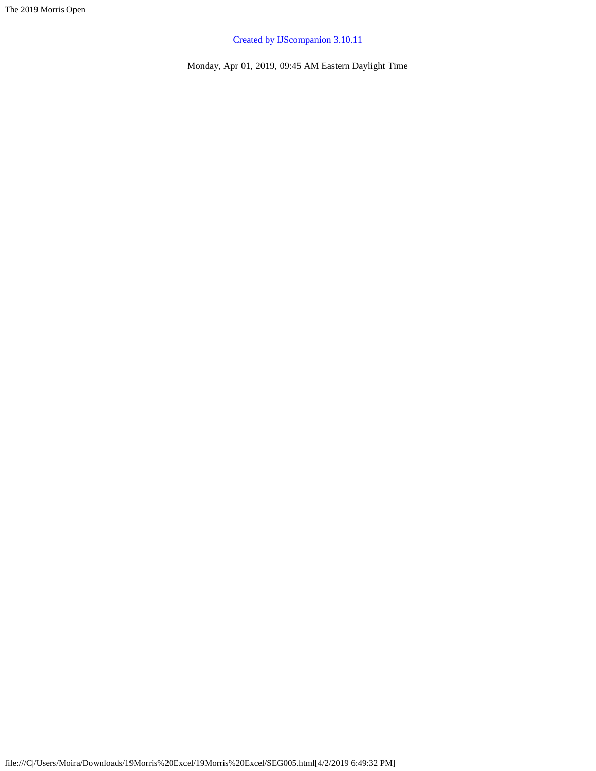[Created by IJScompanion 3.10.11](http://www.usfigureskating.org/)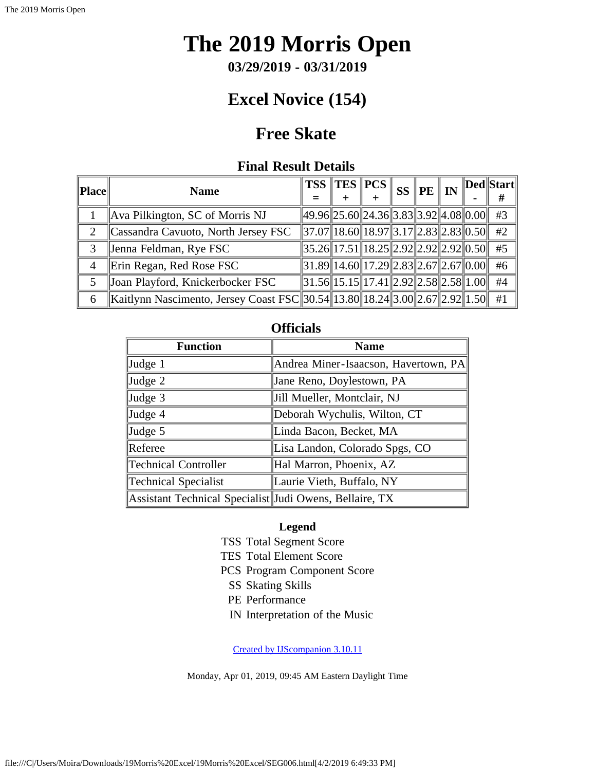**03/29/2019 - 03/31/2019**

# **Excel Novice (154)**

# **Free Skate**

### **Final Result Details**

<span id="page-19-0"></span>

| Place | <b>Name</b>                                                                 |  | TSS TES PCS $_{\text{cc}}$                            | $SS$   PE   IN |  | Ded  Start |
|-------|-----------------------------------------------------------------------------|--|-------------------------------------------------------|----------------|--|------------|
|       | Ava Pilkington, SC of Morris NJ                                             |  | $\ 49.96\ 25.60\ 24.36\ 3.83\ 3.92\ 4.08\ 0.00\ $     |                |  | #3         |
|       | Cassandra Cavuoto, North Jersey FSC                                         |  | $\ 37.07\ 18.60\ 18.97\ 3.17\ 2.83\ 2.83\ 0.50\ $     |                |  | #2         |
| 3     | Jenna Feldman, Rye FSC                                                      |  | $\ 35.26\ 17.51\ 18.25\ 2.92\ 2.92\ 2.92\ 0.50\ $     |                |  | #5         |
| 4     | Erin Regan, Red Rose FSC                                                    |  | $\sqrt{31.89}$   14.60  17.29  2.83  2.67  2.67  0.00 |                |  | #6         |
| 5     | Joan Playford, Knickerbocker FSC                                            |  | $\ 31.56\ 15.15\ 17.41\ 2.92\ 2.58\ 2.58\ 1.00$       |                |  | #4         |
| 6     | Kaitlynn Nascimento, Jersey Coast FSC 30.54 13.80 18.24 3.00 2.67 2.92 1.50 |  |                                                       |                |  | #1         |

## **Officials**

| <b>Function</b>                                         | <b>Name</b>                          |
|---------------------------------------------------------|--------------------------------------|
| $\vert$ Judge 1                                         | Andrea Miner-Isaacson, Havertown, PA |
| $\vert$ Judge 2                                         | Jane Reno, Doylestown, PA            |
| $\vert$ Judge 3                                         | Jill Mueller, Montclair, NJ          |
| Judge 4                                                 | Deborah Wychulis, Wilton, CT         |
| Judge 5                                                 | Linda Bacon, Becket, MA              |
| Referee                                                 | Lisa Landon, Colorado Spgs, CO       |
| Technical Controller                                    | Hal Marron, Phoenix, AZ              |
| Technical Specialist                                    | Laurie Vieth, Buffalo, NY            |
| Assistant Technical Specialist Judi Owens, Bellaire, TX |                                      |

### **Legend**

TSS Total Segment Score

TES Total Element Score

PCS Program Component Score

- SS Skating Skills
- PE Performance
- IN Interpretation of the Music

[Created by IJScompanion 3.10.11](http://www.usfigureskating.org/)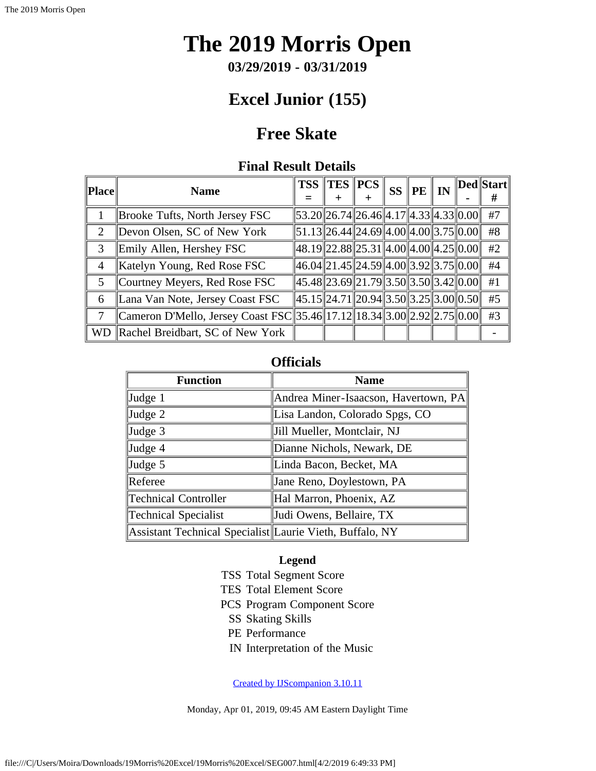**03/29/2019 - 03/31/2019**

# **Excel Junior (155)**

## **Free Skate**

### **Final Result Details**

<span id="page-20-0"></span>

| Place     | <b>Name</b>                                                                    | $TSS$ $TES$ $PCS$<br>┿ |                                                   | $SS$   PE   IN |  | Ded  Start <br># |
|-----------|--------------------------------------------------------------------------------|------------------------|---------------------------------------------------|----------------|--|------------------|
|           | Brooke Tufts, North Jersey FSC                                                 |                        | 53.20  26.74  26.46  4.17  4.33  4.33  0.00       |                |  | #7               |
| 2         | Devon Olsen, SC of New York                                                    |                        | $\ 51.13\ 26.44\ 24.69\ 4.00\ 4.00\ 3.75\ 0.00\ $ |                |  | #8               |
| 3         | Emily Allen, Hershey FSC                                                       |                        | 48.19  22.88  25.31  4.00  4.00  4.25  0.00       |                |  | #2               |
| 4         | Katelyn Young, Red Rose FSC                                                    |                        | 46.04  21.45  24.59  4.00  3.92  3.75  0.00       |                |  | #4               |
| 5         | Courtney Meyers, Red Rose FSC                                                  |                        | $\ 45.48\ 23.69\ 21.79\ 3.50\ 3.50\ 3.42\ 0.00\ $ |                |  | #1               |
| 6         | Lana Van Note, Jersey Coast FSC                                                |                        | 45.15  24.71  20.94  3.50  3.25  3.00  0.50       |                |  | #5               |
|           | Cameron D'Mello, Jersey Coast FSC  35.46  17.12  18.34  3.00  2.92  2.75  0.00 |                        |                                                   |                |  | #3               |
| <b>WD</b> | Rachel Breidbart, SC of New York                                               |                        |                                                   |                |  |                  |

## **Officials**

| <b>Function</b>                                          | <b>Name</b>                          |  |  |  |  |  |
|----------------------------------------------------------|--------------------------------------|--|--|--|--|--|
| Judge 1                                                  | Andrea Miner-Isaacson, Havertown, PA |  |  |  |  |  |
| $\vert$ Judge 2                                          | Lisa Landon, Colorado Spgs, CO       |  |  |  |  |  |
| $\vert$ Judge 3                                          | Jill Mueller, Montclair, NJ          |  |  |  |  |  |
| $\vert$ Judge 4                                          | Dianne Nichols, Newark, DE           |  |  |  |  |  |
| Judge 5                                                  | Linda Bacon, Becket, MA              |  |  |  |  |  |
| Referee                                                  | Jane Reno, Doylestown, PA            |  |  |  |  |  |
| Technical Controller                                     | Hal Marron, Phoenix, AZ              |  |  |  |  |  |
| Technical Specialist                                     | Judi Owens, Bellaire, TX             |  |  |  |  |  |
| Assistant Technical Specialist Laurie Vieth, Buffalo, NY |                                      |  |  |  |  |  |

#### **Legend**

- TSS Total Segment Score
- TES Total Element Score
- PCS Program Component Score
	- SS Skating Skills
	- PE Performance
	- IN Interpretation of the Music

[Created by IJScompanion 3.10.11](http://www.usfigureskating.org/)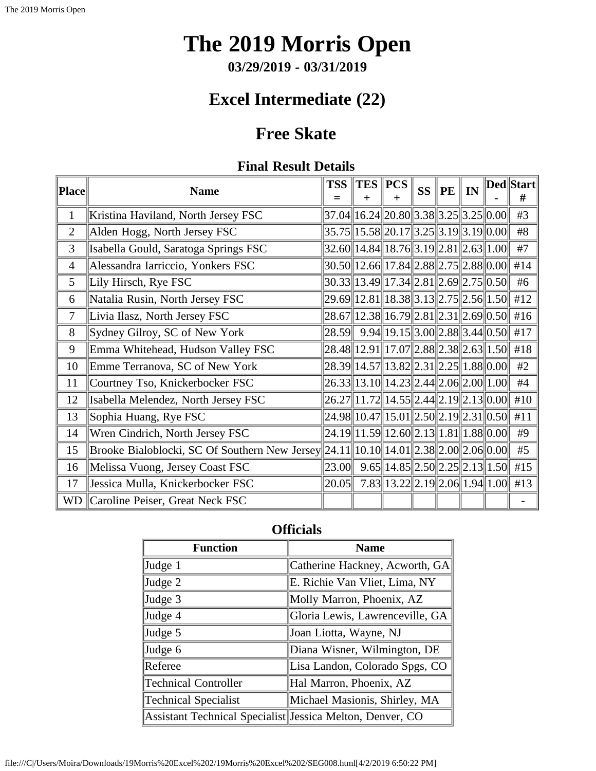**03/29/2019 - 03/31/2019**

## **Excel Intermediate (22)**

## **Free Skate**

### **Final Result Details**

| Place          | <b>Name</b>                                                                         | <b>TSS</b>                                                                                                                        | $TES$ $PCS$                                                                                                                                                    | <b>SS</b> | PE | IN | Ded  Start  <br># |
|----------------|-------------------------------------------------------------------------------------|-----------------------------------------------------------------------------------------------------------------------------------|----------------------------------------------------------------------------------------------------------------------------------------------------------------|-----------|----|----|-------------------|
| $\mathbf{1}$   | Kristina Haviland, North Jersey FSC                                                 | $\ 37.04\ 16.24\ 20.80\ 3.38\ 3.25\ 3.25\ 0.00\ $                                                                                 |                                                                                                                                                                |           |    |    | #3                |
| $\overline{2}$ | Alden Hogg, North Jersey FSC                                                        |                                                                                                                                   | 35.75  15.58  20.17  3.25  3.19  3.19  0.00                                                                                                                    |           |    |    | $\#8$             |
| 3              | Isabella Gould, Saratoga Springs FSC                                                |                                                                                                                                   | $32.60\ 14.84\ 18.76\ 3.19\ 2.81\ 2.63\ 1.00\ $                                                                                                                |           |    |    | #7                |
| 4              | Alessandra Iarriccio, Yonkers FSC                                                   |                                                                                                                                   | $\left 30.50\right \!\!\left 12.66\right \!\!\left 17.84\right \!\!\left 2.88\right \!\!\left 2.75\right \!\!\left 2.88\right \!\!\left 0.00\right \!\!\left $ |           |    |    | #14               |
| 5              | Lily Hirsch, Rye FSC                                                                |                                                                                                                                   | 30.33  13.49  17.34  2.81  2.69  2.75  0.50                                                                                                                    |           |    |    | #6                |
| 6              | Natalia Rusin, North Jersey FSC                                                     |                                                                                                                                   | 29.69  12.81  18.38  3.13  2.75  2.56  1.50   #12                                                                                                              |           |    |    |                   |
| 7              | Livia Ilasz, North Jersey FSC                                                       |                                                                                                                                   | $\left  28.67 \right  12.38 \left  16.79 \right  2.81 \left  2.31 \right  2.69 \left  0.50 \right $                                                            |           |    |    | #16               |
| 8              | Sydney Gilroy, SC of New York                                                       |                                                                                                                                   | $\ 28.59\ $ 9.94 19.15 3.00 2.88 3.44 0.50                                                                                                                     |           |    |    | #17               |
| 9              | Emma Whitehead, Hudson Valley FSC                                                   |                                                                                                                                   | $\left  28.48 \right  12.91 \left  17.07 \right  2.88 \left  2.38 \right  2.63 \left  1.50 \right $                                                            |           |    |    | #18               |
| 10             | Emme Terranova, SC of New York                                                      | $\vert 28.39 \vert \vert 14.57 \vert \vert 13.82 \vert \vert 2.31 \vert \vert 2.25 \vert \vert 1.88 \vert \vert 0.00 \vert \vert$ |                                                                                                                                                                |           |    |    | #2                |
| 11             | Courtney Tso, Knickerbocker FSC                                                     | $\left  26.33 \right  13.10 \left  14.23 \right  2.44 \left  2.06 \right  2.00 \left  1.00 \right $                               |                                                                                                                                                                |           |    |    | #4                |
| 12             | Isabella Melendez, North Jersey FSC                                                 |                                                                                                                                   | $26.27$   11.72  14.55  2.44  2.19  2.13  0.00                                                                                                                 |           |    |    | #10               |
| 13             | Sophia Huang, Rye FSC                                                               |                                                                                                                                   | $24.98$   10.47  15.01  2.50  2.19  2.31  0.50                                                                                                                 |           |    |    | #11               |
| 14             | Wren Cindrich, North Jersey FSC                                                     |                                                                                                                                   | $24.19$   11.59  12.60  2.13  1.81  1.88  0.00                                                                                                                 |           |    |    | #9                |
| 15             | Brooke Bialoblocki, SC Of Southern New Jersey 24.11 10.10 14.01 2.38 2.00 2.06 0.00 |                                                                                                                                   |                                                                                                                                                                |           |    |    | #5                |
| 16             | Melissa Vuong, Jersey Coast FSC                                                     | 23.00                                                                                                                             | $9.65$   14.85  2.50  2.25  2.13  1.50                                                                                                                         |           |    |    | #15               |
| 17             | Jessica Mulla, Knickerbocker FSC                                                    | 20.05                                                                                                                             | $7.83$   13.22  2.19  2.06  1.94  1.00   #13                                                                                                                   |           |    |    |                   |
|                | WD Caroline Peiser, Great Neck FSC                                                  |                                                                                                                                   |                                                                                                                                                                |           |    |    |                   |

### **Officials**

| <b>Function</b>                                           | <b>Name</b>                     |
|-----------------------------------------------------------|---------------------------------|
| Judge 1                                                   | Catherine Hackney, Acworth, GA  |
| Judge 2                                                   | E. Richie Van Vliet, Lima, NY   |
| Judge 3                                                   | Molly Marron, Phoenix, AZ       |
| Judge 4                                                   | Gloria Lewis, Lawrenceville, GA |
| Judge 5                                                   | Joan Liotta, Wayne, NJ          |
| Judge 6                                                   | Diana Wisner, Wilmington, DE    |
| Referee                                                   | Lisa Landon, Colorado Spgs, CO  |
| Technical Controller                                      | Hal Marron, Phoenix, AZ         |
| <b>Technical Specialist</b>                               | Michael Masionis, Shirley, MA   |
| Assistant Technical Specialist Jessica Melton, Denver, CO |                                 |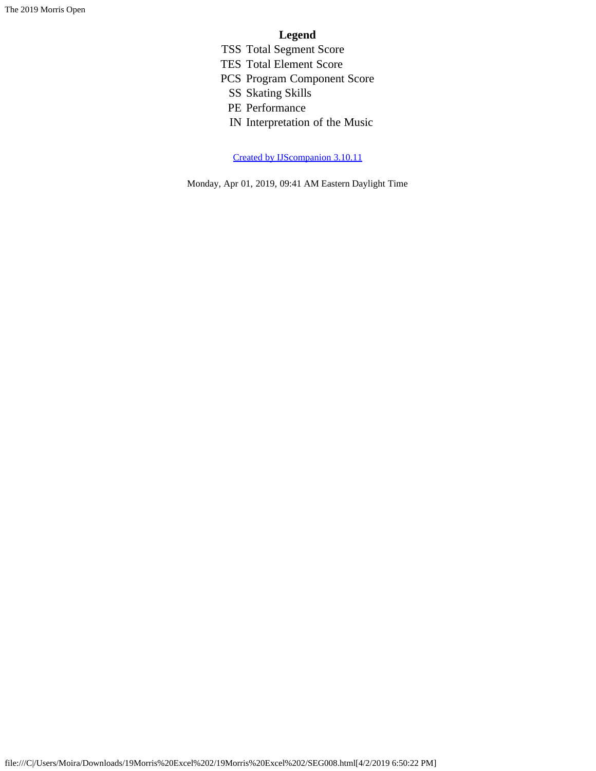#### **Legend**

- TSS Total Segment Score
- TES Total Element Score
- PCS Program Component Score
	- SS Skating Skills
	- PE Performance
	- IN Interpretation of the Music

[Created by IJScompanion 3.10.11](http://www.usfigureskating.org/)